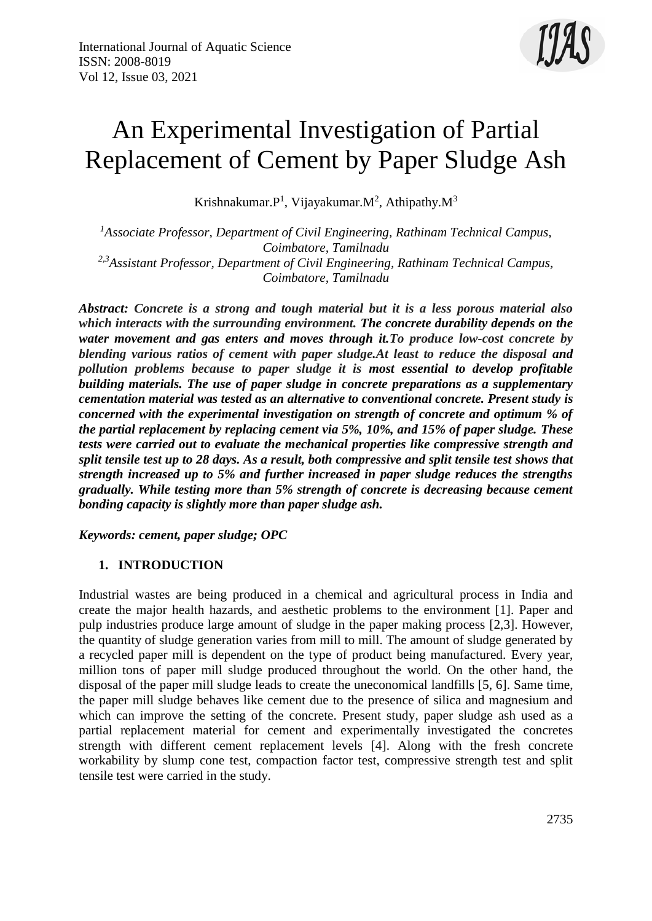

# An Experimental Investigation of Partial Replacement of Cement by Paper Sludge Ash

Krishnakumar. $P<sup>1</sup>$ , Vijayakumar. $M<sup>2</sup>$ , Athipathy. $M<sup>3</sup>$ 

*<sup>1</sup>Associate Professor, Department of Civil Engineering, Rathinam Technical Campus, Coimbatore, Tamilnadu 2,3Assistant Professor, Department of Civil Engineering, Rathinam Technical Campus, Coimbatore, Tamilnadu*

*Abstract: Concrete is a strong and tough material but it is a less porous material also which interacts with the surrounding environment. The concrete durability depends on the water movement and gas enters and moves through it.To produce low-cost concrete by blending various ratios of cement with paper sludge.At least to reduce the disposal and pollution problems because to paper sludge it is most essential to develop profitable building materials. The use of paper sludge in concrete preparations as a supplementary cementation material was tested as an alternative to conventional concrete. Present study is concerned with the experimental investigation on strength of concrete and optimum % of the partial replacement by replacing cement via 5%, 10%, and 15% of paper sludge. These tests were carried out to evaluate the mechanical properties like compressive strength and split tensile test up to 28 days. As a result, both compressive and split tensile test shows that strength increased up to 5% and further increased in paper sludge reduces the strengths gradually. While testing more than 5% strength of concrete is decreasing because cement bonding capacity is slightly more than paper sludge ash.*

*Keywords: cement, paper sludge; OPC*

#### **1. INTRODUCTION**

Industrial wastes are being produced in a chemical and agricultural process in India and create the major health hazards, and aesthetic problems to the environment [1]. Paper and pulp industries produce large amount of sludge in the paper making process [2,3]. However, the quantity of sludge generation varies from mill to mill. The amount of sludge generated by a recycled paper mill is dependent on the type of product being manufactured. Every year, million tons of paper mill sludge produced throughout the world. On the other hand, the disposal of the paper mill sludge leads to create the uneconomical landfills [5, 6]. Same time, the paper mill sludge behaves like cement due to the presence of silica and magnesium and which can improve the setting of the concrete. Present study, paper sludge ash used as a partial replacement material for cement and experimentally investigated the concretes strength with different cement replacement levels [4]. Along with the fresh concrete workability by slump cone test, compaction factor test, compressive strength test and split tensile test were carried in the study.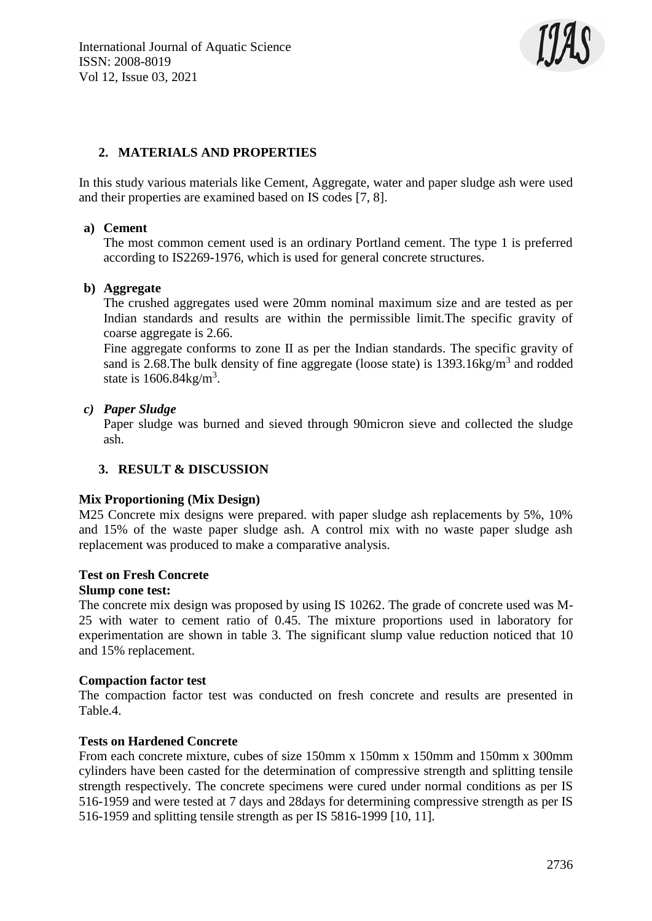

# **2. MATERIALS AND PROPERTIES**

In this study various materials like Cement, Aggregate, water and paper sludge ash were used and their properties are examined based on IS codes [7, 8].

#### **a) Cement**

The most common cement used is an ordinary Portland cement. The type 1 is preferred according to IS2269-1976, which is used for general concrete structures.

#### **b) Aggregate**

The crushed aggregates used were 20mm nominal maximum size and are tested as per Indian standards and results are within the permissible limit.The specific gravity of coarse aggregate is 2.66.

Fine aggregate conforms to zone II as per the Indian standards. The specific gravity of sand is 2.68. The bulk density of fine aggregate (loose state) is  $1393.16$ kg/m<sup>3</sup> and rodded state is  $1606.84 \text{kg/m}^3$ .

#### *c) Paper Sludge*

Paper sludge was burned and sieved through 90micron sieve and collected the sludge ash.

#### **3. RESULT & DISCUSSION**

#### **Mix Proportioning (Mix Design)**

M25 Concrete mix designs were prepared. with paper sludge ash replacements by 5%, 10% and 15% of the waste paper sludge ash. A control mix with no waste paper sludge ash replacement was produced to make a comparative analysis.

#### **Test on Fresh Concrete**

#### **Slump cone test:**

The concrete mix design was proposed by using IS 10262. The grade of concrete used was M-25 with water to cement ratio of 0.45. The mixture proportions used in laboratory for experimentation are shown in table 3. The significant slump value reduction noticed that 10 and 15% replacement.

#### **Compaction factor test**

The compaction factor test was conducted on fresh concrete and results are presented in Table.4.

#### **Tests on Hardened Concrete**

From each concrete mixture, cubes of size 150mm x 150mm x 150mm and 150mm x 300mm cylinders have been casted for the determination of compressive strength and splitting tensile strength respectively. The concrete specimens were cured under normal conditions as per IS 516-1959 and were tested at 7 days and 28days for determining compressive strength as per IS 516-1959 and splitting tensile strength as per IS 5816-1999 [10, 11].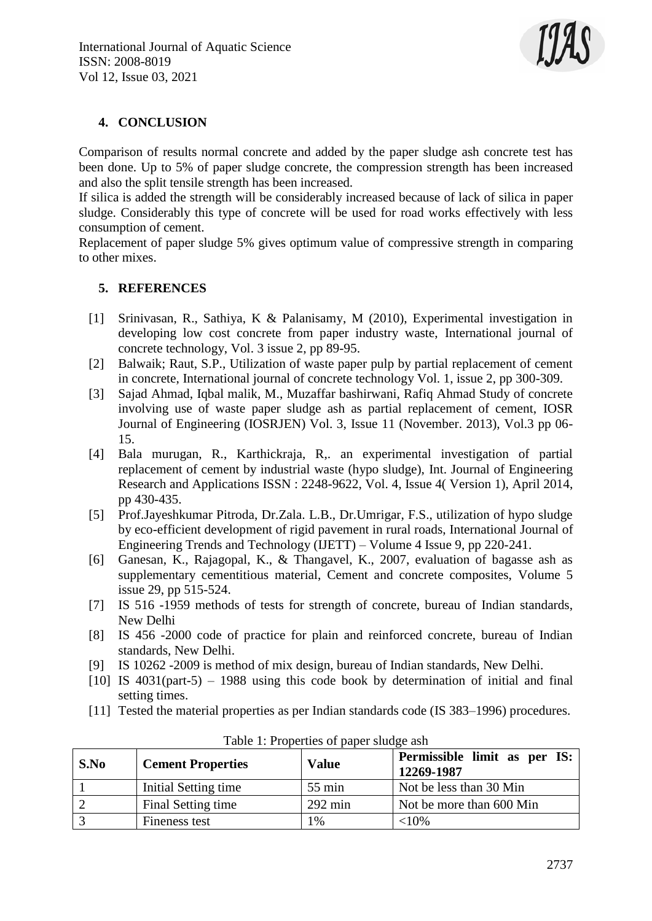

## **4. CONCLUSION**

Comparison of results normal concrete and added by the paper sludge ash concrete test has been done. Up to 5% of paper sludge concrete, the compression strength has been increased and also the split tensile strength has been increased.

If silica is added the strength will be considerably increased because of lack of silica in paper sludge. Considerably this type of concrete will be used for road works effectively with less consumption of cement.

Replacement of paper sludge 5% gives optimum value of compressive strength in comparing to other mixes.

## **5. REFERENCES**

- [1] Srinivasan, R., Sathiya, K & Palanisamy, M (2010), Experimental investigation in developing low cost concrete from paper industry waste, International journal of concrete technology, Vol. 3 issue 2, pp 89-95.
- [2] Balwaik; Raut, S.P., Utilization of waste paper pulp by partial replacement of cement in concrete, International journal of concrete technology Vol. 1, issue 2, pp 300-309.
- [3] Sajad Ahmad, Iqbal malik, M., Muzaffar bashirwani, Rafiq Ahmad Study of concrete involving use of waste paper sludge ash as partial replacement of cement, IOSR Journal of Engineering (IOSRJEN) Vol. 3, Issue 11 (November. 2013), Vol.3 pp 06- 15.
- [4] Bala murugan, R., Karthickraja, R,. an experimental investigation of partial replacement of cement by industrial waste (hypo sludge), Int. Journal of Engineering Research and Applications ISSN : 2248-9622, Vol. 4, Issue 4( Version 1), April 2014, pp 430-435.
- [5] Prof.Jayeshkumar Pitroda, Dr.Zala. L.B., Dr.Umrigar, F.S., utilization of hypo sludge by eco-efficient development of rigid pavement in rural roads, International Journal of Engineering Trends and Technology (IJETT) – Volume 4 Issue 9, pp 220-241.
- [6] Ganesan, K., Rajagopal, K., & Thangavel, K., 2007, evaluation of bagasse ash as supplementary cementitious material, Cement and concrete composites, Volume 5 issue 29, pp 515-524.
- [7] IS 516 -1959 methods of tests for strength of concrete, bureau of Indian standards, New Delhi
- [8] IS 456 -2000 code of practice for plain and reinforced concrete, bureau of Indian standards, New Delhi.
- [9] IS 10262 -2009 is method of mix design, bureau of Indian standards, New Delhi.
- [10] IS 4031(part-5) 1988 using this code book by determination of initial and final setting times.
- [11] Tested the material properties as per Indian standards code (IS 383–1996) procedures.

| S.No | <b>Cement Properties</b> | <b>Value</b>      | Permissible limit as per IS:<br>12269-1987 |
|------|--------------------------|-------------------|--------------------------------------------|
|      | Initial Setting time     | $55 \text{ min}$  | Not be less than 30 Min                    |
|      | Final Setting time       | $292 \text{ min}$ | Not be more than 600 Min                   |
|      | Fineness test            | $\frac{0}{6}$     | 10%                                        |

Table 1: Properties of paper sludge ash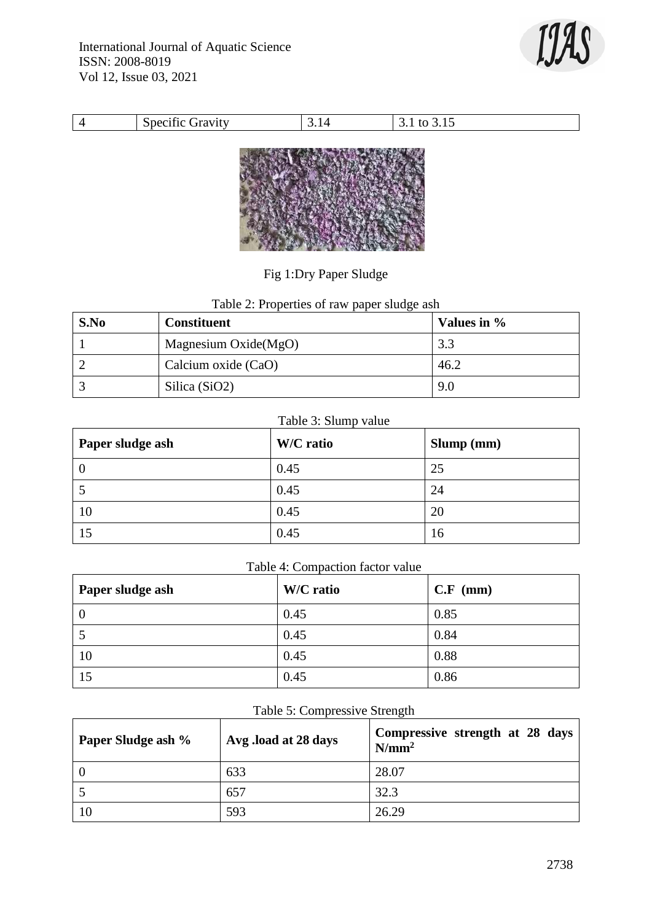

| $\sim$<br>-<br>4 V I<br>________ | $\sqrt{ }$ |  |
|----------------------------------|------------|--|



Fig 1:Dry Paper Sludge

Table 2: Properties of raw paper sludge ash

| S.No | <b>Constituent</b>     | Values in % |
|------|------------------------|-------------|
|      | Magnesium $Oxide(MgO)$ | 3.3         |
|      | Calcium oxide (CaO)    | 46.2        |
|      | Silica (SiO2)          | 9.0         |

# Table 3: Slump value

| Paper sludge ash | W/C ratio | Slump (mm) |
|------------------|-----------|------------|
| $\cup$           | 0.45      | 25         |
|                  | 0.45      | 24         |
| 10               | 0.45      | 20         |
| 15               | 0.45      | 16         |

# Table 4: Compaction factor value

| Paper sludge ash | W/C ratio | $C.F$ (mm) |
|------------------|-----------|------------|
| 0                | 0.45      | 0.85       |
|                  | 0.45      | 0.84       |
| 10               | 0.45      | 0.88       |
| 15               | 0.45      | 0.86       |

# Table 5: Compressive Strength

| Paper Sludge ash % | Avg.load at 28 days | Compressive strength at 28 days<br>$N/mm^2$ |
|--------------------|---------------------|---------------------------------------------|
|                    | 633                 | 28.07                                       |
|                    | 657                 | 32.3                                        |
| 10                 | 593                 | 26.29                                       |